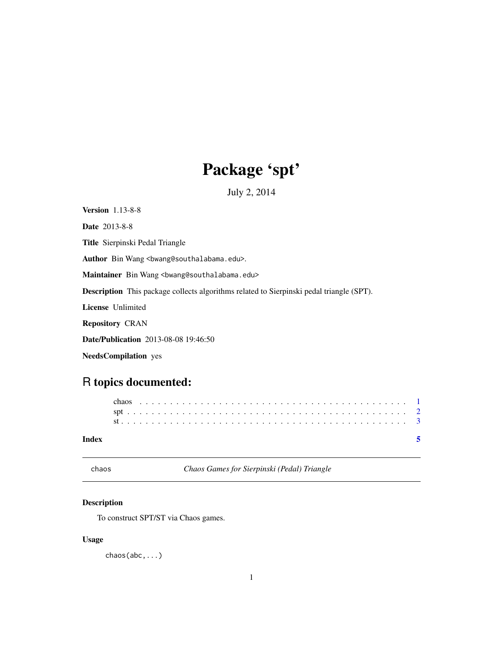## Package 'spt'

July 2, 2014

<span id="page-0-0"></span>Version 1.13-8-8

Date 2013-8-8

Title Sierpinski Pedal Triangle

Author Bin Wang <br/>bwang@southalabama.edu>.

Maintainer Bin Wang <br/>bwang@southalabama.edu>

Description This package collects algorithms related to Sierpinski pedal triangle (SPT).

License Unlimited

Repository CRAN

Date/Publication 2013-08-08 19:46:50

NeedsCompilation yes

### R topics documented:

| Index |  |  |  |  |  |  |  |  |  |  |  |  |  |  |  |  |  |  |  |  |  |  |  |
|-------|--|--|--|--|--|--|--|--|--|--|--|--|--|--|--|--|--|--|--|--|--|--|--|
|       |  |  |  |  |  |  |  |  |  |  |  |  |  |  |  |  |  |  |  |  |  |  |  |
|       |  |  |  |  |  |  |  |  |  |  |  |  |  |  |  |  |  |  |  |  |  |  |  |
|       |  |  |  |  |  |  |  |  |  |  |  |  |  |  |  |  |  |  |  |  |  |  |  |

chaos *Chaos Games for Sierpinski (Pedal) Triangle*

#### Description

To construct SPT/ST via Chaos games.

#### Usage

chaos(abc,...)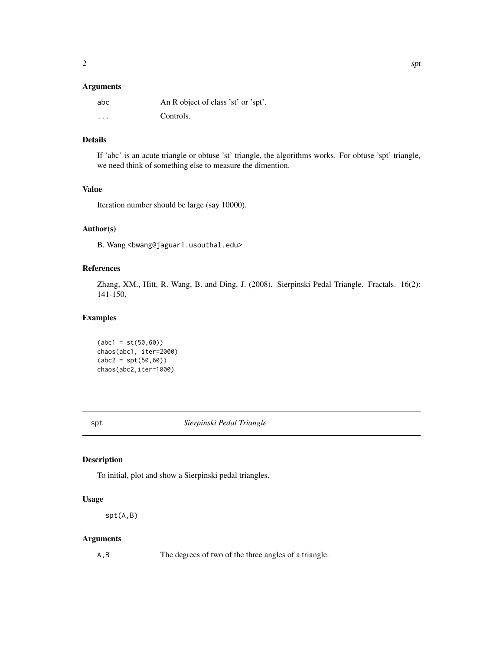#### <span id="page-1-0"></span>Arguments

| abc      | An R object of class 'st' or 'spt'. |
|----------|-------------------------------------|
| $\cdots$ | Controls.                           |

#### Details

If 'abc' is an acute triangle or obtuse 'st' triangle, the algorithms works. For obtuse 'spt' triangle, we need think of something else to measure the dimention.

#### Value

Iteration number should be large (say 10000).

#### Author(s)

B. Wang <bwang@jaguar1.usouthal.edu>

#### References

Zhang, XM., Hitt, R. Wang, B. and Ding, J. (2008). Sierpinski Pedal Triangle. Fractals. 16(2): 141-150.

#### Examples

 $(abc1 = st(50, 60))$ chaos(abc1, iter=2000)  $(abc2 = spt(50, 60))$ chaos(abc2,iter=1000)

spt *Sierpinski Pedal Triangle*

#### Description

To initial, plot and show a Sierpinski pedal triangles.

#### Usage

spt(A,B)

#### Arguments

A,B The degrees of two of the three angles of a triangle.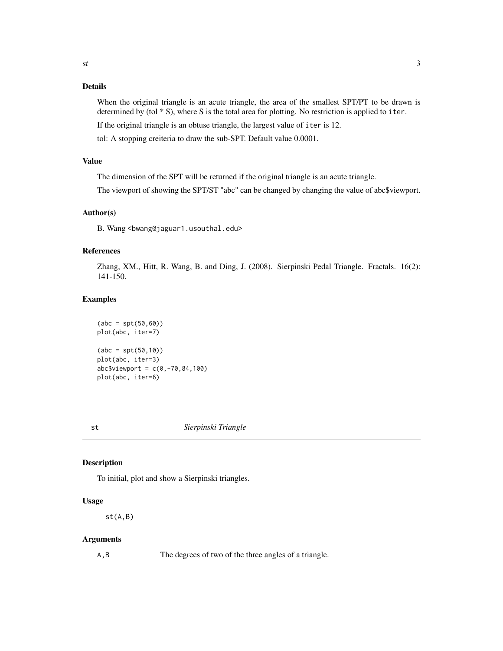#### <span id="page-2-0"></span>Details

When the original triangle is an acute triangle, the area of the smallest SPT/PT to be drawn is determined by (tol \* S), where S is the total area for plotting. No restriction is applied to iter. If the original triangle is an obtuse triangle, the largest value of iter is 12.

tol: A stopping creiteria to draw the sub-SPT. Default value 0.0001.

#### Value

The dimension of the SPT will be returned if the original triangle is an acute triangle.

The viewport of showing the SPT/ST "abc" can be changed by changing the value of abc\$viewport.

#### Author(s)

B. Wang <bwang@jaguar1.usouthal.edu>

#### References

Zhang, XM., Hitt, R. Wang, B. and Ding, J. (2008). Sierpinski Pedal Triangle. Fractals. 16(2): 141-150.

#### Examples

```
(abc = spt(50, 60))plot(abc, iter=7)
(abc = spt(50, 10))plot(abc, iter=3)
abc$viewport = c(0, -70, 84, 100)plot(abc, iter=6)
```
st *Sierpinski Triangle*

#### Description

To initial, plot and show a Sierpinski triangles.

#### Usage

st(A,B)

#### Arguments

A,B The degrees of two of the three angles of a triangle.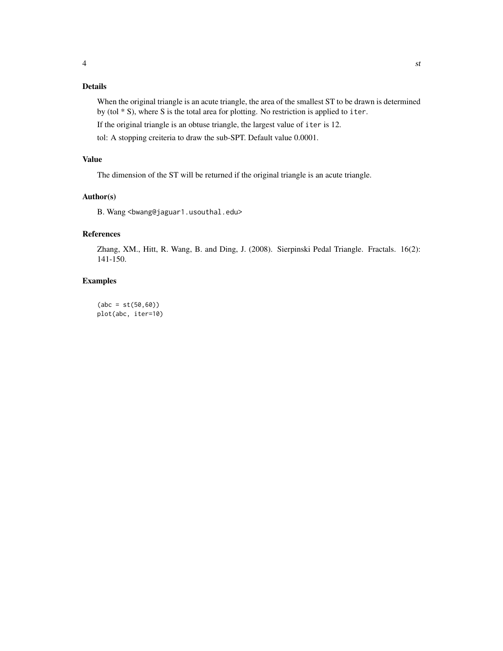#### Details

When the original triangle is an acute triangle, the area of the smallest ST to be drawn is determined by (tol \* S), where S is the total area for plotting. No restriction is applied to iter.

If the original triangle is an obtuse triangle, the largest value of iter is 12.

tol: A stopping creiteria to draw the sub-SPT. Default value 0.0001.

#### Value

The dimension of the ST will be returned if the original triangle is an acute triangle.

#### Author(s)

B. Wang <br/>bwang@jaguar1.usouthal.edu>

#### References

Zhang, XM., Hitt, R. Wang, B. and Ding, J. (2008). Sierpinski Pedal Triangle. Fractals. 16(2): 141-150.

#### Examples

 $(abc = st(50, 60))$ plot(abc, iter=10)